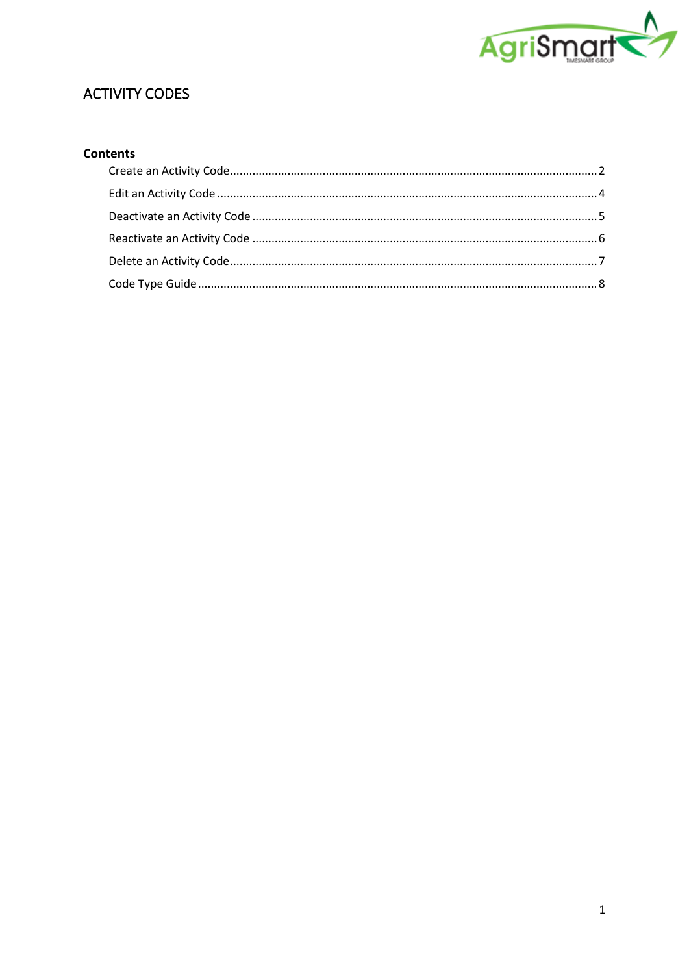

# **ACTIVITY CODES**

## Contents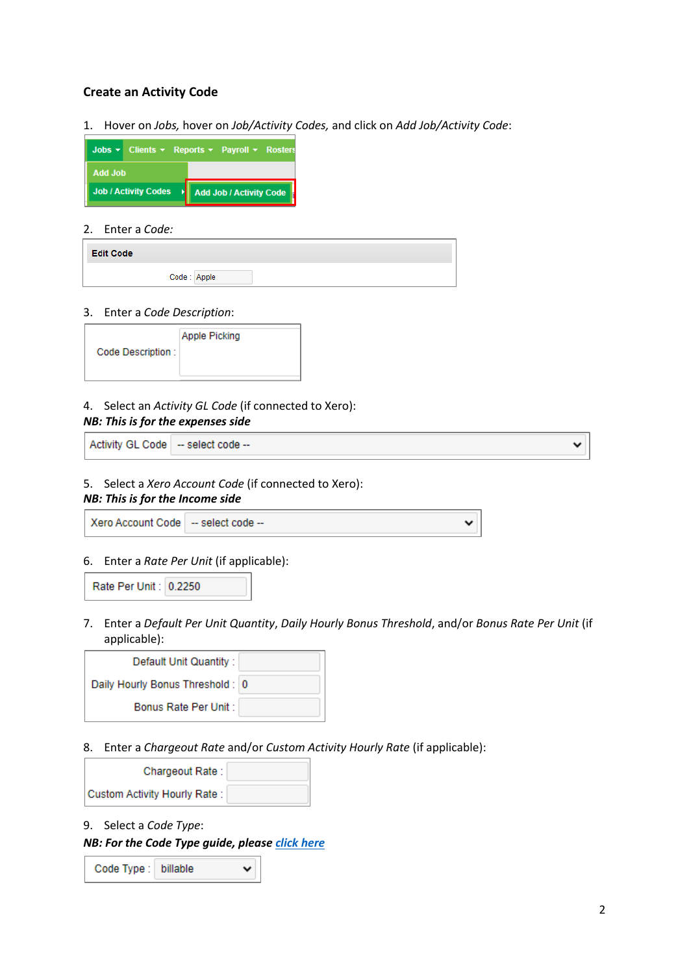### <span id="page-1-0"></span>**Create an Activity Code**

1. Hover on *Jobs,* hover on *Job/Activity Codes,* and click on *Add Job/Activity Code*:

| Jobs $\bullet$ Clients $\bullet$ Reports $\bullet$ Payroll $\bullet$ Rosters |                         |  |
|------------------------------------------------------------------------------|-------------------------|--|
| <b>Add Job</b>                                                               |                         |  |
| <b>Job / Activity Codes</b>                                                  | Add Job / Activity Code |  |

#### 2. Enter a *Code:*

| <b>Edit Code</b> |             |
|------------------|-------------|
|                  | Code: Apple |

#### 3. Enter a *Code Description*:

| <b>Apple Picking</b><br>Code Description: |  |
|-------------------------------------------|--|
|-------------------------------------------|--|

### 4. Select an *Activity GL Code* (if connected to Xero):

#### *NB: This is for the expenses side*

Activity GL Code - select code --

#### 5. Select a *Xero Account Code* (if connected to Xero):

### *NB: This is for the Income side*

Xero Account Code - select code --

### 6. Enter a *Rate Per Unit* (if applicable):



7. Enter a *Default Per Unit Quantity*, *Daily Hourly Bonus Threshold*, and/or *Bonus Rate Per Unit* (if applicable):

| Default Unit Quantity:           |  |
|----------------------------------|--|
| Daily Hourly Bonus Threshold : 0 |  |
| Bonus Rate Per Unit:             |  |

8. Enter a *Chargeout Rate* and/or *Custom Activity Hourly Rate* (if applicable):

| Chargeout Rate:               |  |
|-------------------------------|--|
| Custom Activity Hourly Rate : |  |

9. Select a *Code Type*:

*NB: For the Code Type guide, please [click here](#page-7-0)*

| Code Type : billable |  | び |
|----------------------|--|---|
|----------------------|--|---|

◡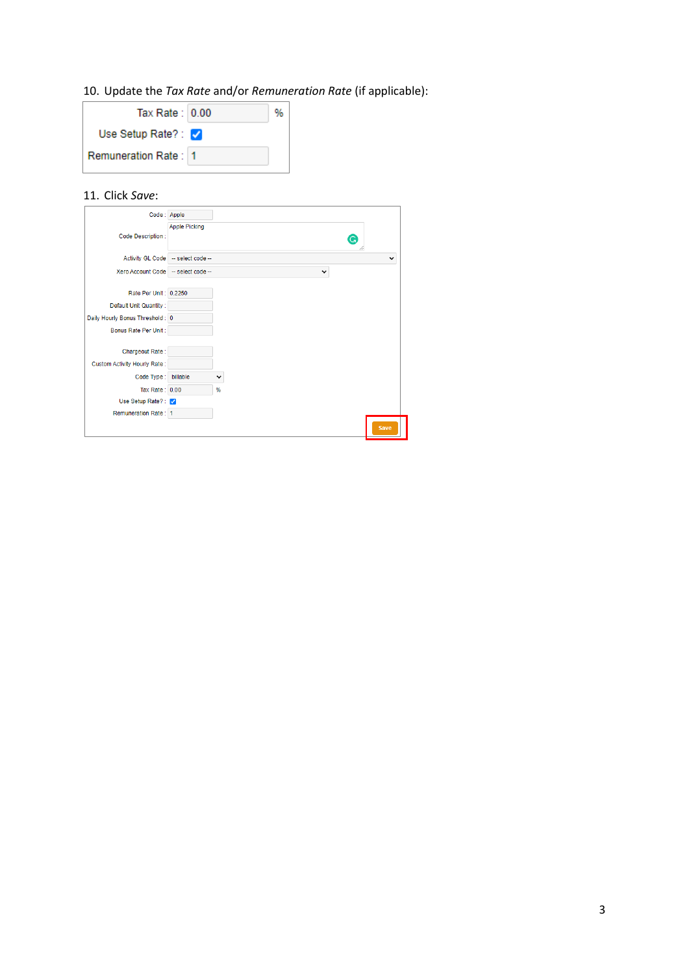## 10. Update the *Tax Rate* and/or *Remuneration Rate* (if applicable):

| Tax Rate: $0.00$             |  |
|------------------------------|--|
| Use Setup Rate?: $\sqrt{ }$  |  |
| <b>Remuneration Rate: 11</b> |  |
|                              |  |

## 11. Click *Save*:

| Code: Apple                         |                                   |              |             |
|-------------------------------------|-----------------------------------|--------------|-------------|
|                                     | <b>Apple Picking</b>              |              |             |
| Code Description:                   |                                   | G            |             |
|                                     | Activity GL Code - select code -- |              | v           |
| Xero Account Code - select code --  |                                   | $\checkmark$ |             |
|                                     |                                   |              |             |
| Rate Per Unit: 0.2250               |                                   |              |             |
| Default Unit Quantity:              |                                   |              |             |
| Daily Hourly Bonus Threshold: 0     |                                   |              |             |
| Bonus Rate Per Unit:                |                                   |              |             |
|                                     |                                   |              |             |
| Chargeout Rate:                     |                                   |              |             |
| <b>Custom Activity Hourly Rate:</b> |                                   |              |             |
| Code Type:                          | billable                          | v            |             |
| Tax Rate: 0.00                      |                                   | %            |             |
| Use Setup Rate?: V                  |                                   |              |             |
| Remuneration Rate: 1                |                                   |              |             |
|                                     |                                   |              | <b>Save</b> |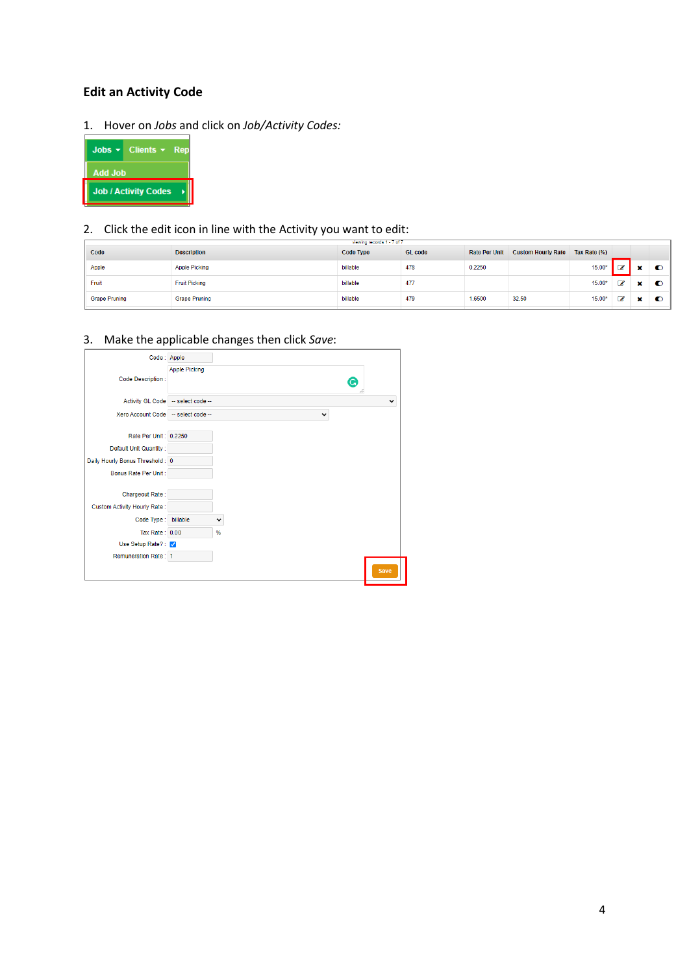## <span id="page-3-0"></span>**Edit an Activity Code**

1. Hover on *Jobs* and click on *Job/Activity Codes:*



### 2. Click the edit icon in line with the Activity you want to edit:

|                      |                      | viewing records 1 - 7 of 7 |                |                      |                           |              |   |           |
|----------------------|----------------------|----------------------------|----------------|----------------------|---------------------------|--------------|---|-----------|
| Code                 | <b>Description</b>   | Code Type                  | <b>GL</b> code | <b>Rate Per Unit</b> | <b>Custom Hourly Rate</b> | Tax Rate (%) |   |           |
| Apple                | <b>Apple Picking</b> | billable                   | 478            | 0.2250               |                           | $15.00*$     | € | $\bullet$ |
| Fruit                | <b>Fruit Picking</b> | billable                   | 477            |                      |                           | $15.00*$     | € | $\bullet$ |
| <b>Grape Pruning</b> | <b>Grape Pruning</b> | billable                   | 479            | 1.6500               | 32.50                     | $15.00*$     | € | $\bullet$ |

### 3. Make the applicable changes then click *Save*:

| Code: Apple                         |                                                   |
|-------------------------------------|---------------------------------------------------|
| Code Description:                   | <b>Apple Picking</b><br>G                         |
|                                     |                                                   |
|                                     | Activity GL Code - select code --<br>$\checkmark$ |
| Xero Account Code - select code --  | $\checkmark$                                      |
|                                     |                                                   |
| Rate Per Unit: 0.2250               |                                                   |
| Default Unit Quantity:              |                                                   |
| Daily Hourly Bonus Threshold: 0     |                                                   |
| Bonus Rate Per Unit:                |                                                   |
|                                     |                                                   |
| Chargeout Rate:                     |                                                   |
| <b>Custom Activity Hourly Rate:</b> |                                                   |
| Code Type:                          | billable<br>۰                                     |
| Tax Rate: 0.00                      | %                                                 |
| Use Setup Rate?: V                  |                                                   |
| Remuneration Rate: 1                |                                                   |
|                                     | <b>Save</b>                                       |
|                                     |                                                   |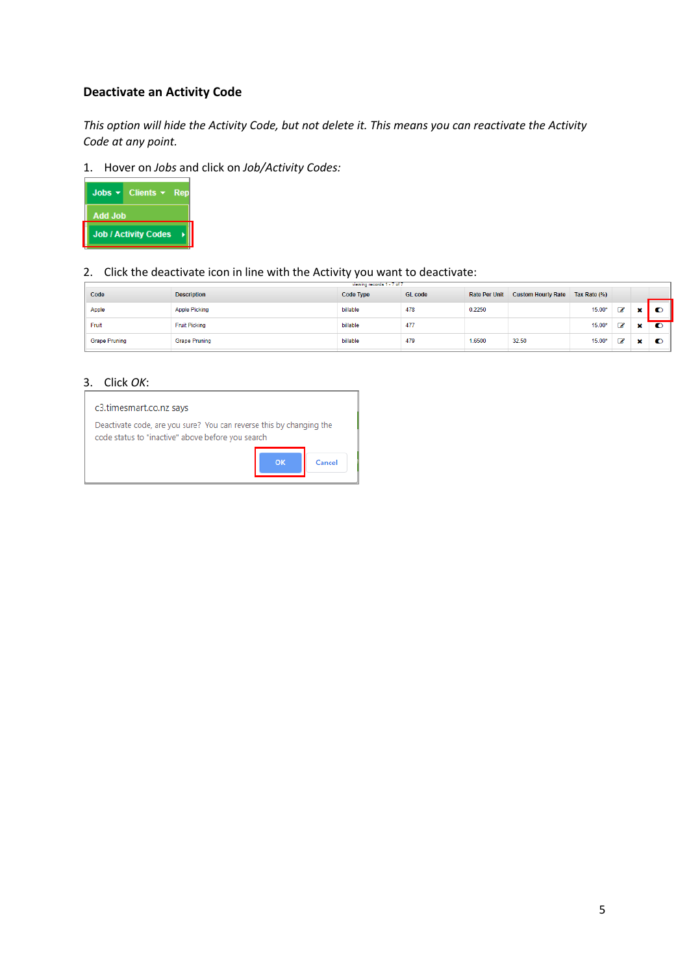## <span id="page-4-0"></span>**Deactivate an Activity Code**

*This option will hide the Activity Code, but not delete it. This means you can reactivate the Activity Code at any point.*

1. Hover on *Jobs* and click on *Job/Activity Codes:*



2. Click the deactivate icon in line with the Activity you want to deactivate:

| Code                 | <b>Description</b>   | <b>Code Type</b> | <b>GL</b> code | <b>Rate Per Unit</b> | <b>Custom Hourly Rate</b> | Tax Rate (%) |   |   |           |
|----------------------|----------------------|------------------|----------------|----------------------|---------------------------|--------------|---|---|-----------|
| Apple                | <b>Apple Picking</b> | billable         | 478            | 0.2250               |                           | $15.00*$     | C |   |           |
| Fruit                | <b>Fruit Picking</b> | billable         | 477            |                      |                           | 15.00*       | € | × | $\bullet$ |
| <b>Grape Pruning</b> | <b>Grape Pruning</b> | billable         | 479            | 1.6500               | 32.50                     | 15.00*       | C | × | œ         |

### 3. Click *OK*:

#### c3.timesmart.co.nz says

Deactivate code, are you sure? You can reverse this by changing the code status to "inactive" above before you search

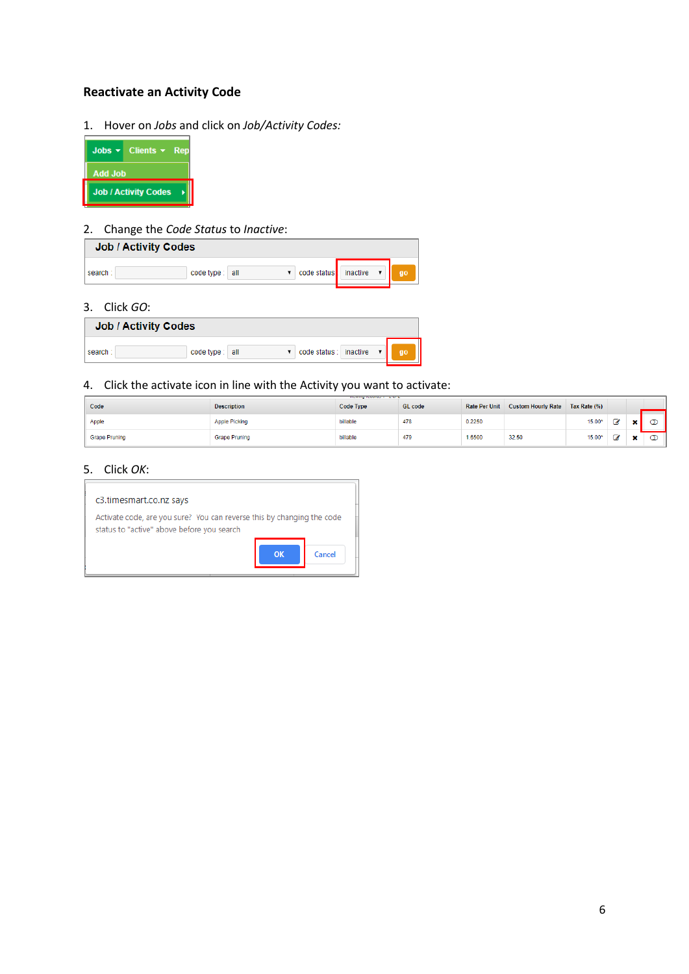## <span id="page-5-0"></span>**Reactivate an Activity Code**

1. Hover on *Jobs* and click on *Job/Activity Codes:*



### 2. Change the *Code Status* to *Inactive*:

| <b>Job / Activity Codes</b> |                |   |                                |    |
|-----------------------------|----------------|---|--------------------------------|----|
| search:                     | code type: all | ▼ | code status inactive $\bullet$ | go |

### 3. Click *GO*:

| <b>Job / Activity Codes</b> |                |                            |    |  |  |
|-----------------------------|----------------|----------------------------|----|--|--|
| search:                     | code type: all | code status :   inactive ▼ | go |  |  |

## 4. Click the activate icon in line with the Activity you want to activate:

| Code                 | <b>Description</b>   | <b>Code Type</b> | <b>GL</b> code | <b>Rate Per Unit</b> | <b>Custom Hourly Rate</b> | Tax Rate (%) |   |  |
|----------------------|----------------------|------------------|----------------|----------------------|---------------------------|--------------|---|--|
| Apple                | <b>Apple Picking</b> | billable         | 478            | 0.2250               |                           | 15.00*       | ø |  |
| <b>Grape Pruning</b> | <b>Grape Pruning</b> | billable<br>.    | 479            | 1.6500               | 32.50                     | 15.00*       | C |  |

### 5. Click *OK*:

| c3.timesmart.co.nz says                                                                                              |          |        |
|----------------------------------------------------------------------------------------------------------------------|----------|--------|
| Activate code, are you sure? You can reverse this by changing the code<br>status to "active" above before you search |          |        |
|                                                                                                                      | $\alpha$ | Cancel |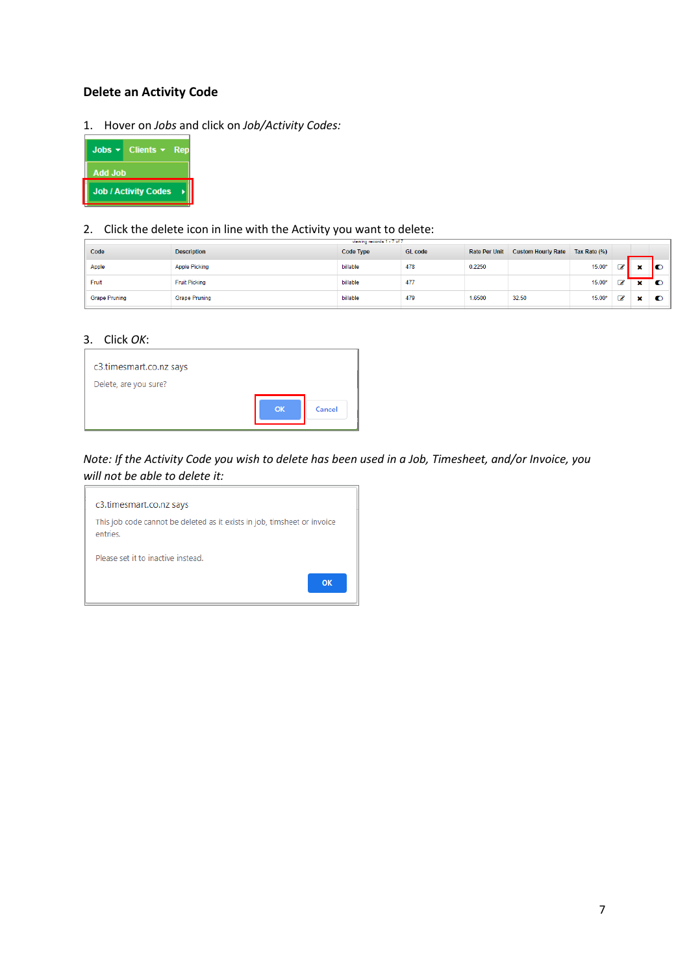### <span id="page-6-0"></span>**Delete an Activity Code**

1. Hover on *Jobs* and click on *Job/Activity Codes:*



### 2. Click the delete icon in line with the Activity you want to delete:

| Code                 | <b>Description</b>   | Code Type | <b>GL</b> code | <b>Rate Per Unit</b> | <b>Custom Hourly Rate</b> | Tax Rate (%) |   |              |           |
|----------------------|----------------------|-----------|----------------|----------------------|---------------------------|--------------|---|--------------|-----------|
| Apple                | <b>Apple Picking</b> | billable  | 478            | 0.2250               |                           | $15.00*$     | ☑ |              | ю         |
| Fruit                | <b>Fruit Picking</b> | billable  | 477            |                      |                           | 15.00*       | ☞ | $\mathbf{x}$ | $\bullet$ |
| <b>Grape Pruning</b> | <b>Grape Pruning</b> | billable  | 479            | 1.6500               | 32.50                     | 15.00*       | € |              | $\bullet$ |

#### 3. Click *OK*:

| c3.timesmart.co.nz says<br>Delete, are you sure? |           |        |
|--------------------------------------------------|-----------|--------|
|                                                  | <b>OK</b> | Cancel |

## *Note: If the Activity Code you wish to delete has been used in a Job, Timesheet, and/or Invoice, you will not be able to delete it:*